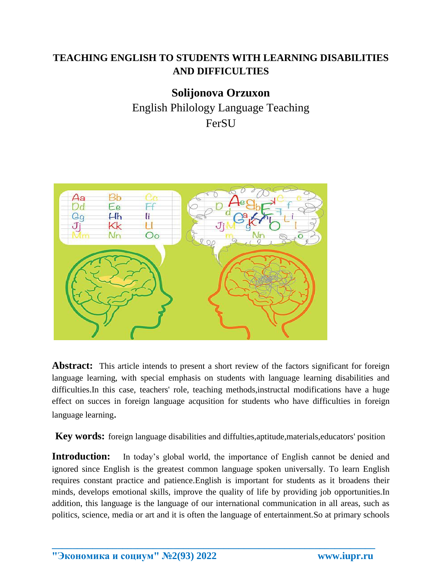## **TEACHING ENGLISH TO STUDENTS WITH LEARNING DISABILITIES AND DIFFICULTIES**

**Solijonova Orzuxon** English Philology Language Teaching FerSU



Abstract: This article intends to present a short review of the factors significant for foreign language learning, with special emphasis on students with language learning disabilities and difficulties.In this case, teachers' role, teaching methods,instructal modifications have a huge effect on succes in foreign language acqusition for students who have difficulties in foreign language learning.

**Key words:** foreign language disabilities and diffulties,aptitude,materials,educators' position

**Introduction:** In today's global world, the importance of English cannot be denied and ignored since English is the greatest common language spoken universally. To learn English requires constant practice and patience.English is important for students as it broadens their minds, develops emotional skills, improve the quality of life by providing job opportunities.In addition, this language is the language of our international communication in all areas, such as politics, science, media or art and it is often the language of entertainment.So at primary schools

**\_\_\_\_\_\_\_\_\_\_\_\_\_\_\_\_\_\_\_\_\_\_\_\_\_\_\_\_\_\_\_\_\_\_\_\_\_\_\_\_\_\_\_\_\_\_\_\_\_\_\_\_\_\_\_\_\_\_\_\_\_\_\_\_**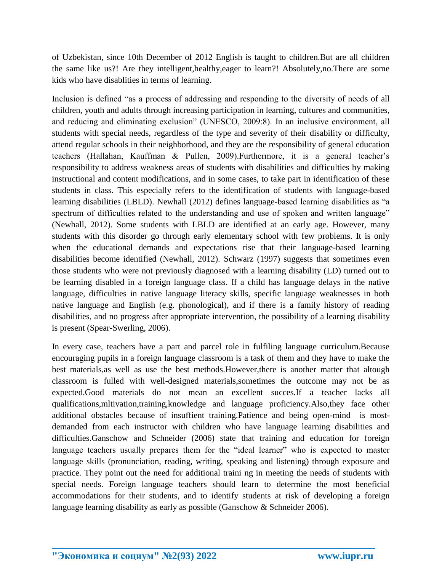of Uzbekistan, since 10th December of 2012 English is taught to children.But are all children the same like us?! Are they intelligent,healthy,eager to learn?! Absolutely,no.There are some kids who have disablities in terms of learning.

Inclusion is defined "as a process of addressing and responding to the diversity of needs of all children, youth and adults through increasing participation in learning, cultures and communities, and reducing and eliminating exclusion" (UNESCO, 2009:8). In an inclusive environment, all students with special needs, regardless of the type and severity of their disability or difficulty, attend regular schools in their neighborhood, and they are the responsibility of general education teachers (Hallahan, Kauffman & Pullen, 2009).Furthermore, it is a general teacher's responsibility to address weakness areas of students with disabilities and difficulties by making instructional and content modifications, and in some cases, to take part in identification of these students in class. This especially refers to the identification of students with language-based learning disabilities (LBLD). Newhall (2012) defines language-based learning disabilities as "a spectrum of difficulties related to the understanding and use of spoken and written language" (Newhall, 2012). Some students with LBLD are identified at an early age. However, many students with this disorder go through early elementary school with few problems. It is only when the educational demands and expectations rise that their language-based learning disabilities become identified (Newhall, 2012). Schwarz (1997) suggests that sometimes even those students who were not previously diagnosed with a learning disability (LD) turned out to be learning disabled in a foreign language class. If a child has language delays in the native language, difficulties in native language literacy skills, specific language weaknesses in both native language and English (e.g. phonological), and if there is a family history of reading disabilities, and no progress after appropriate intervention, the possibility of a learning disability is present (Spear-Swerling, 2006).

In every case, teachers have a part and parcel role in fulfiling language curriculum.Because encouraging pupils in a foreign language classroom is a task of them and they have to make the best materials,as well as use the best methods.However,there is another matter that altough classroom is fulled with well-designed materials,sometimes the outcome may not be as expected.Good materials do not mean an excellent succes.If a teacher lacks all qualifications,mltivation,training,knowledge and language proficiency.Also,they face other additional obstacles because of insuffient training.Patience and being open-mind is mostdemanded from each instructor with children who have language learning disabilities and difficulties.Ganschow and Schneider (2006) state that training and education for foreign language teachers usually prepares them for the "ideal learner" who is expected to master language skills (pronunciation, reading, writing, speaking and listening) through exposure and practice. They point out the need for additional traini ng in meeting the needs of students with special needs. Foreign language teachers should learn to determine the most beneficial accommodations for their students, and to identify students at risk of developing a foreign language learning disability as early as possible (Ganschow & Schneider 2006).

**\_\_\_\_\_\_\_\_\_\_\_\_\_\_\_\_\_\_\_\_\_\_\_\_\_\_\_\_\_\_\_\_\_\_\_\_\_\_\_\_\_\_\_\_\_\_\_\_\_\_\_\_\_\_\_\_\_\_\_\_\_\_\_\_**